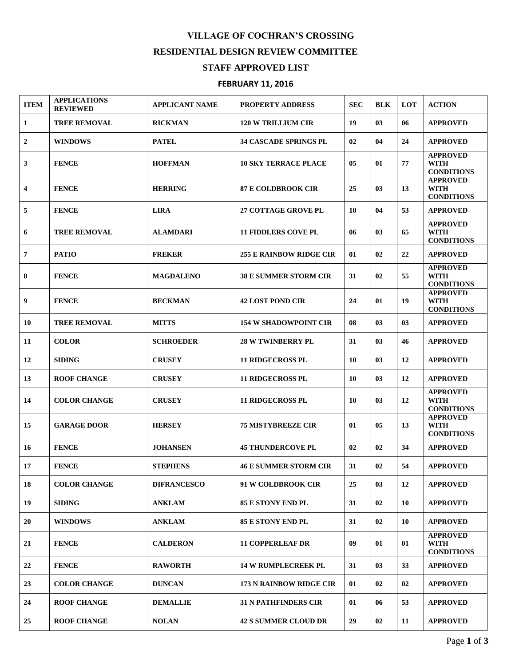## **VILLAGE OF COCHRAN'S CROSSING RESIDENTIAL DESIGN REVIEW COMMITTEE**

## **STAFF APPROVED LIST**

## **FEBRUARY 11, 2016**

| <b>ITEM</b>             | <b>APPLICATIONS</b><br><b>REVIEWED</b> | <b>APPLICANT NAME</b> | <b>PROPERTY ADDRESS</b>        | <b>SEC</b> | <b>BLK</b> | LOT | <b>ACTION</b>                                       |
|-------------------------|----------------------------------------|-----------------------|--------------------------------|------------|------------|-----|-----------------------------------------------------|
| 1                       | <b>TREE REMOVAL</b>                    | <b>RICKMAN</b>        | <b>120 W TRILLIUM CIR</b>      | 19         | 03         | 06  | <b>APPROVED</b>                                     |
| $\mathbf{2}$            | <b>WINDOWS</b>                         | <b>PATEL</b>          | <b>34 CASCADE SPRINGS PL</b>   | 02         | 04         | 24  | <b>APPROVED</b>                                     |
| 3                       | <b>FENCE</b>                           | <b>HOFFMAN</b>        | <b>10 SKY TERRACE PLACE</b>    | 05         | 01         | 77  | <b>APPROVED</b><br><b>WITH</b><br><b>CONDITIONS</b> |
| $\overline{\mathbf{4}}$ | <b>FENCE</b>                           | <b>HERRING</b>        | <b>87 E COLDBROOK CIR</b>      | 25         | 03         | 13  | <b>APPROVED</b><br><b>WITH</b><br><b>CONDITIONS</b> |
| 5                       | <b>FENCE</b>                           | <b>LIRA</b>           | <b>27 COTTAGE GROVE PL</b>     | 10         | 04         | 53  | <b>APPROVED</b>                                     |
| 6                       | <b>TREE REMOVAL</b>                    | <b>ALAMDARI</b>       | <b>11 FIDDLERS COVE PL</b>     | 06         | 03         | 65  | <b>APPROVED</b><br><b>WITH</b><br><b>CONDITIONS</b> |
| $\overline{7}$          | <b>PATIO</b>                           | <b>FREKER</b>         | <b>255 E RAINBOW RIDGE CIR</b> | 01         | 02         | 22  | <b>APPROVED</b>                                     |
| 8                       | <b>FENCE</b>                           | <b>MAGDALENO</b>      | <b>38 E SUMMER STORM CIR</b>   | 31         | 02         | 55  | <b>APPROVED</b><br><b>WITH</b><br><b>CONDITIONS</b> |
| 9                       | <b>FENCE</b>                           | <b>BECKMAN</b>        | <b>42 LOST POND CIR</b>        | 24         | 01         | 19  | <b>APPROVED</b><br><b>WITH</b><br><b>CONDITIONS</b> |
| 10                      | <b>TREE REMOVAL</b>                    | <b>MITTS</b>          | <b>154 W SHADOWPOINT CIR</b>   | 08         | 03         | 03  | <b>APPROVED</b>                                     |
| 11                      | <b>COLOR</b>                           | <b>SCHROEDER</b>      | <b>28 W TWINBERRY PL</b>       | 31         | 03         | 46  | <b>APPROVED</b>                                     |
| 12                      | <b>SIDING</b>                          | <b>CRUSEY</b>         | <b>11 RIDGECROSS PL</b>        | 10         | 03         | 12  | <b>APPROVED</b>                                     |
| 13                      | <b>ROOF CHANGE</b>                     | <b>CRUSEY</b>         | <b>11 RIDGECROSS PL</b>        | 10         | 03         | 12  | <b>APPROVED</b>                                     |
| 14                      | <b>COLOR CHANGE</b>                    | <b>CRUSEY</b>         | <b>11 RIDGECROSS PL</b>        | 10         | 03         | 12  | <b>APPROVED</b><br><b>WITH</b><br><b>CONDITIONS</b> |
| 15                      | <b>GARAGE DOOR</b>                     | <b>HERSEY</b>         | <b>75 MISTYBREEZE CIR</b>      | 01         | 05         | 13  | <b>APPROVED</b><br><b>WITH</b><br><b>CONDITIONS</b> |
| 16                      | <b>FENCE</b>                           | <b>JOHANSEN</b>       | <b>45 THUNDERCOVE PL</b>       | 02         | 02         | 34  | <b>APPROVED</b>                                     |
| 17                      | <b>FENCE</b>                           | <b>STEPHENS</b>       | <b>46 E SUMMER STORM CIR</b>   | 31         | 02         | 54  | <b>APPROVED</b>                                     |
| 18                      | <b>COLOR CHANGE</b>                    | <b>DIFRANCESCO</b>    | 91 W COLDBROOK CIR             | 25         | 03         | 12  | <b>APPROVED</b>                                     |
| 19                      | <b>SIDING</b>                          | <b>ANKLAM</b>         | <b>85 E STONY END PL</b>       | 31         | 02         | 10  | <b>APPROVED</b>                                     |
| 20                      | <b>WINDOWS</b>                         | <b>ANKLAM</b>         | <b>85 E STONY END PL</b>       | 31         | 02         | 10  | <b>APPROVED</b>                                     |
| 21                      | <b>FENCE</b>                           | <b>CALDERON</b>       | <b>11 COPPERLEAF DR</b>        | 09         | 01         | 01  | <b>APPROVED</b><br><b>WITH</b><br><b>CONDITIONS</b> |
| 22                      | <b>FENCE</b>                           | <b>RAWORTH</b>        | <b>14 W RUMPLECREEK PL</b>     | 31         | 03         | 33  | <b>APPROVED</b>                                     |
| 23                      | <b>COLOR CHANGE</b>                    | <b>DUNCAN</b>         | <b>173 N RAINBOW RIDGE CIR</b> | 01         | 02         | 02  | <b>APPROVED</b>                                     |
| 24                      | <b>ROOF CHANGE</b>                     | <b>DEMALLIE</b>       | <b>31 N PATHFINDERS CIR</b>    | 01         | 06         | 53  | <b>APPROVED</b>                                     |
| 25                      | <b>ROOF CHANGE</b>                     | <b>NOLAN</b>          | <b>42 S SUMMER CLOUD DR</b>    | 29         | 02         | 11  | <b>APPROVED</b>                                     |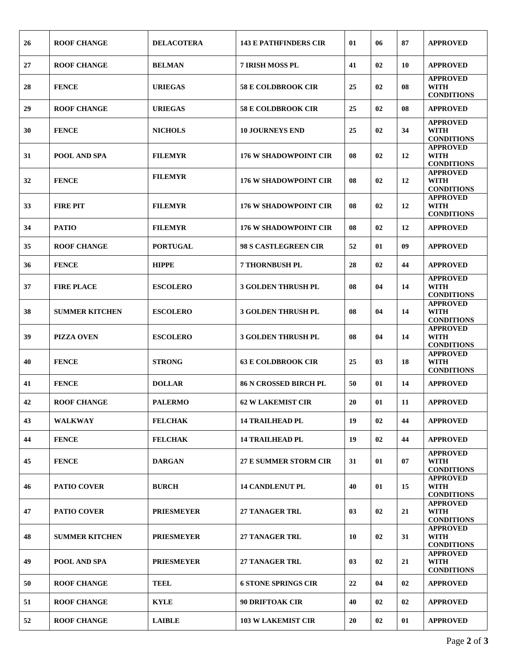| 26 | <b>ROOF CHANGE</b>    | <b>DELACOTERA</b> | <b>143 E PATHFINDERS CIR</b> | 01 | 06 | 87 | <b>APPROVED</b>                                     |
|----|-----------------------|-------------------|------------------------------|----|----|----|-----------------------------------------------------|
| 27 | <b>ROOF CHANGE</b>    | <b>BELMAN</b>     | 7 IRISH MOSS PL              | 41 | 02 | 10 | <b>APPROVED</b>                                     |
| 28 | <b>FENCE</b>          | <b>URIEGAS</b>    | <b>58 E COLDBROOK CIR</b>    | 25 | 02 | 08 | <b>APPROVED</b><br><b>WITH</b><br><b>CONDITIONS</b> |
| 29 | <b>ROOF CHANGE</b>    | <b>URIEGAS</b>    | <b>58 E COLDBROOK CIR</b>    | 25 | 02 | 08 | <b>APPROVED</b>                                     |
| 30 | <b>FENCE</b>          | <b>NICHOLS</b>    | <b>10 JOURNEYS END</b>       | 25 | 02 | 34 | <b>APPROVED</b><br><b>WITH</b><br><b>CONDITIONS</b> |
| 31 | POOL AND SPA          | <b>FILEMYR</b>    | <b>176 W SHADOWPOINT CIR</b> | 08 | 02 | 12 | <b>APPROVED</b><br><b>WITH</b><br><b>CONDITIONS</b> |
| 32 | <b>FENCE</b>          | <b>FILEMYR</b>    | <b>176 W SHADOWPOINT CIR</b> | 08 | 02 | 12 | <b>APPROVED</b><br><b>WITH</b><br><b>CONDITIONS</b> |
| 33 | <b>FIRE PIT</b>       | <b>FILEMYR</b>    | <b>176 W SHADOWPOINT CIR</b> | 08 | 02 | 12 | <b>APPROVED</b><br><b>WITH</b><br><b>CONDITIONS</b> |
| 34 | <b>PATIO</b>          | <b>FILEMYR</b>    | <b>176 W SHADOWPOINT CIR</b> | 08 | 02 | 12 | <b>APPROVED</b>                                     |
| 35 | <b>ROOF CHANGE</b>    | <b>PORTUGAL</b>   | 98 S CASTLEGREEN CIR         | 52 | 01 | 09 | <b>APPROVED</b>                                     |
| 36 | <b>FENCE</b>          | <b>HIPPE</b>      | <b>7 THORNBUSH PL</b>        | 28 | 02 | 44 | <b>APPROVED</b>                                     |
| 37 | <b>FIRE PLACE</b>     | <b>ESCOLERO</b>   | <b>3 GOLDEN THRUSH PL</b>    | 08 | 04 | 14 | <b>APPROVED</b><br><b>WITH</b><br><b>CONDITIONS</b> |
| 38 | <b>SUMMER KITCHEN</b> | <b>ESCOLERO</b>   | <b>3 GOLDEN THRUSH PL</b>    | 08 | 04 | 14 | <b>APPROVED</b><br><b>WITH</b><br><b>CONDITIONS</b> |
| 39 | <b>PIZZA OVEN</b>     | <b>ESCOLERO</b>   | <b>3 GOLDEN THRUSH PL</b>    | 08 | 04 | 14 | <b>APPROVED</b><br><b>WITH</b><br><b>CONDITIONS</b> |
| 40 | <b>FENCE</b>          | <b>STRONG</b>     | <b>63 E COLDBROOK CIR</b>    | 25 | 03 | 18 | <b>APPROVED</b><br><b>WITH</b><br><b>CONDITIONS</b> |
| 41 | <b>FENCE</b>          | <b>DOLLAR</b>     | <b>86 N CROSSED BIRCH PL</b> | 50 | 01 | 14 | <b>APPROVED</b>                                     |
| 42 | <b>ROOF CHANGE</b>    | <b>PALERMO</b>    | <b>62 W LAKEMIST CIR</b>     | 20 | 01 | 11 | <b>APPROVED</b>                                     |
| 43 | <b>WALKWAY</b>        | <b>FELCHAK</b>    | <b>14 TRAILHEAD PL</b>       | 19 | 02 | 44 | <b>APPROVED</b>                                     |
| 44 | <b>FENCE</b>          | <b>FELCHAK</b>    | <b>14 TRAILHEAD PL</b>       | 19 | 02 | 44 | <b>APPROVED</b>                                     |
| 45 | <b>FENCE</b>          | <b>DARGAN</b>     | <b>27 E SUMMER STORM CIR</b> | 31 | 01 | 07 | <b>APPROVED</b><br><b>WITH</b><br><b>CONDITIONS</b> |
| 46 | <b>PATIO COVER</b>    | <b>BURCH</b>      | <b>14 CANDLENUT PL</b>       | 40 | 01 | 15 | <b>APPROVED</b><br><b>WITH</b><br><b>CONDITIONS</b> |
| 47 | <b>PATIO COVER</b>    | <b>PRIESMEYER</b> | <b>27 TANAGER TRL</b>        | 03 | 02 | 21 | <b>APPROVED</b><br><b>WITH</b><br><b>CONDITIONS</b> |
| 48 | <b>SUMMER KITCHEN</b> | <b>PRIESMEYER</b> | <b>27 TANAGER TRL</b>        | 10 | 02 | 31 | <b>APPROVED</b><br><b>WITH</b><br><b>CONDITIONS</b> |
| 49 | POOL AND SPA          | <b>PRIESMEYER</b> | <b>27 TANAGER TRL</b>        | 03 | 02 | 21 | <b>APPROVED</b><br><b>WITH</b><br><b>CONDITIONS</b> |
| 50 | <b>ROOF CHANGE</b>    | <b>TEEL</b>       | <b>6 STONE SPRINGS CIR</b>   | 22 | 04 | 02 | <b>APPROVED</b>                                     |
| 51 | <b>ROOF CHANGE</b>    | <b>KYLE</b>       | <b>90 DRIFTOAK CIR</b>       | 40 | 02 | 02 | <b>APPROVED</b>                                     |
| 52 | <b>ROOF CHANGE</b>    | <b>LAIBLE</b>     | <b>103 W LAKEMIST CIR</b>    | 20 | 02 | 01 | <b>APPROVED</b>                                     |